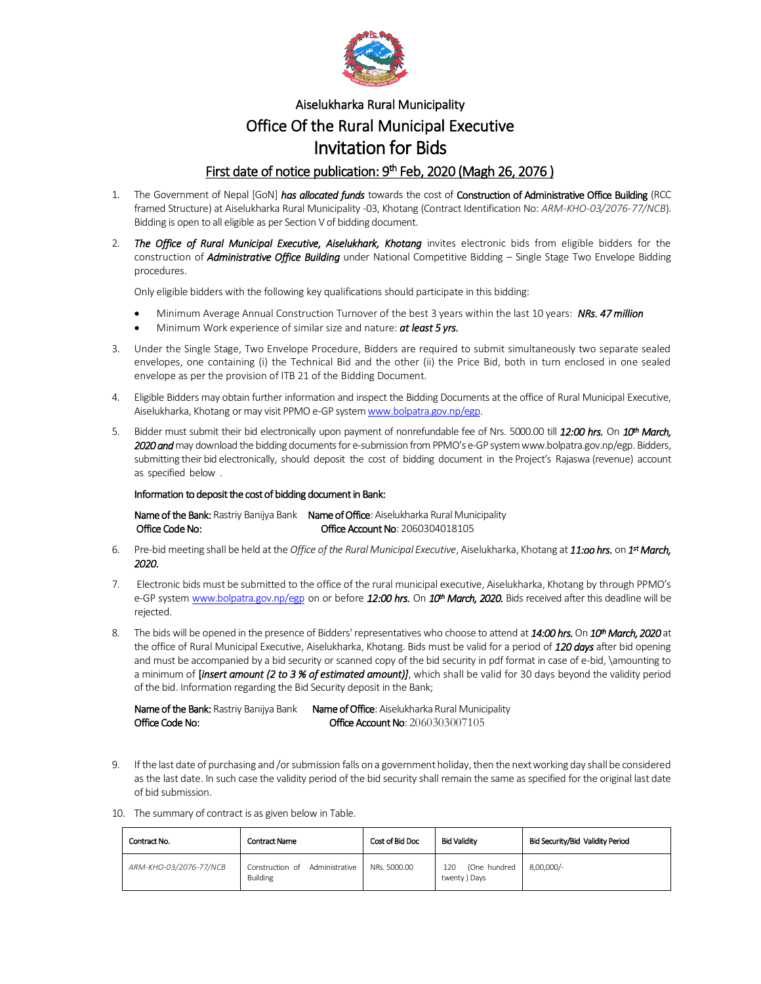

## Aiselukharka Rural Municipality Office Of the Rural Municipal Executive Invitation for Bids

## First date of notice publication: 9<sup>th</sup> Feb, 2020 (Magh 26, 2076)

- 1. The Government of Nepal [GoN] *has allocated funds* towards the cost of Construction of Administrative Office Building (RCC framed Structure) at Aiselukharka Rural Municipality -03, Khotang (Contract Identification No: *ARM-KHO-03/2076-77/NCB*). Bidding is open to all eligible as per Section V of bidding document.
- 2. *The Office of Rural Municipal Executive, Aiselukhark, Khotang* invites electronic bids from eligible bidders for the construction of *Administrative Office Building* under National Competitive Bidding – Single Stage Two Envelope Bidding procedures.

Only eligible bidders with the following key qualifications should participate in this bidding:

- Minimum Average Annual Construction Turnover of the best 3 years within the last 10 years: *NRs. 47 million*
- Minimum Work experience of similar size and nature: *at least 5 yrs.*
- 3. Under the Single Stage, Two Envelope Procedure, Bidders are required to submit simultaneously two separate sealed envelopes, one containing (i) the Technical Bid and the other (ii) the Price Bid, both in turn enclosed in one sealed envelope as per the provision of ITB 21 of the Bidding Document.
- 4. Eligible Bidders may obtain further information and inspect the Bidding Documents at the office of Rural Municipal Executive, Aiselukharka, Khotangor may visit PPMO e-GP syste[m www.bolpatra.gov.np/egp.](http://www.bolpatra.gov.np/egp)
- 5. Bidder must submit their bid electronically upon payment of nonrefundable fee of Nrs. 5000.00 till *12:00 hrs.* On *10th March, 2020 and* may download the bidding documents for e-submission from PPMO's e-GP system www.bolpatra.gov.np/egp. Bidders, submitting their bid electronically, should deposit the cost of bidding document in the Project's Rajaswa (revenue) account as specified below .

## Information to deposit the cost of bidding document in Bank:

Name of the Bank: Rastriy Banijya Bank Name of Office: Aiselukharka Rural Municipality Office Code No: Collection Communication Control Control Control Control Control Control Control Control Control Control Control Control Control Control Control Control Control Control Control Control Control Control Contr

- 6. Pre-bid meeting shall be held at the *Office of the Rural Municipal Executive*, Aiselukharka, Khotang at *11:oo hrs.* on *1 st March, 2020.*
- 7. Electronic bids must be submitted to the office of the rural municipal executive, Aiselukharka, Khotang by through PPMO's e-GP syste[m www.bolpatra.gov.np/egp](http://www.bolpatra.gov.np/egp) on or before *12:00 hrs.* On *10th March, 2020.* Bids received after this deadline will be rejected.
- 8. The bids will be opened in the presence of Bidders' representatives who choose to attend at *14:00 hrs.* On *10th March, 2020* at the office of Rural Municipal Executive, Aiselukharka, Khotang. Bids must be valid for a period of *120 days* after bid opening and must be accompanied by a bid security or scanned copy of the bid security in pdf format in case of e-bid, \amounting to a minimum of [*insert amount (2 to 3 % of estimated amount)]*, which shall be valid for 30 days beyond the validity period of the bid. Information regarding the Bid Security deposit in the Bank;

Name of the Bank: Rastriy Banijya Bank Name of Office: Aiselukharka Rural Municipality Office Code No:  $Ofice$  Code No:  $Ofice$  Account No:  $2060303007105$ 

- 9. If the last date of purchasing and /or submission falls on a government holiday, then the next working day shall be considered as the last date. In such case the validity period of the bid security shall remain the same as specified for the original last date of bid submission.
- 10. The summary of contract is as given below in Table.

| Contract No.           | <b>Contract Name</b>                                 | Cost of Bid Doc | <b>Bid Validity</b>                  | Bid Security/Bid Validity Period |
|------------------------|------------------------------------------------------|-----------------|--------------------------------------|----------------------------------|
| ARM-KHO-03/2076-77/NCB | Administrative<br>Construction of<br><b>Building</b> | NRs. 5000.00    | (One hundred<br>120<br>twenty ) Days | 8,00,000/-                       |